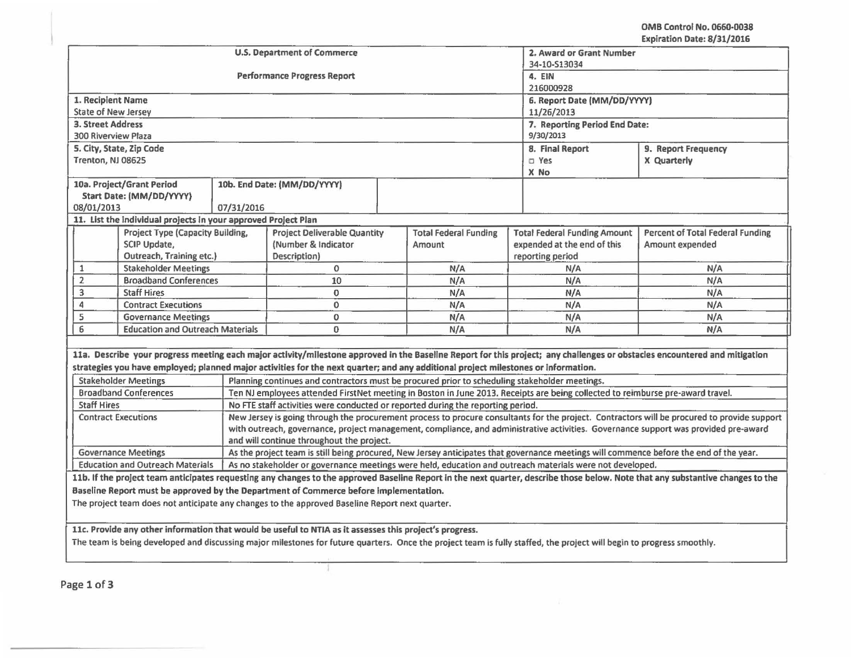OMB Control No. 0660·0038 Expiration Date: 8/31/2016

|                                                                                                                                                                                                                                                                 |                                                                |                                    |                                                                                                                                    |                               |                              |                                     | expiration Date: 6/31/2010                                                                                                                                                 |  |
|-----------------------------------------------------------------------------------------------------------------------------------------------------------------------------------------------------------------------------------------------------------------|----------------------------------------------------------------|------------------------------------|------------------------------------------------------------------------------------------------------------------------------------|-------------------------------|------------------------------|-------------------------------------|----------------------------------------------------------------------------------------------------------------------------------------------------------------------------|--|
| <b>U.S. Department of Commerce</b><br>2. Award or Grant Number                                                                                                                                                                                                  |                                                                |                                    |                                                                                                                                    |                               |                              |                                     |                                                                                                                                                                            |  |
|                                                                                                                                                                                                                                                                 |                                                                |                                    | 34-10-513034                                                                                                                       |                               |                              |                                     |                                                                                                                                                                            |  |
|                                                                                                                                                                                                                                                                 |                                                                | <b>Performance Progress Report</b> | 4. EIN                                                                                                                             |                               |                              |                                     |                                                                                                                                                                            |  |
|                                                                                                                                                                                                                                                                 |                                                                |                                    | 216000928                                                                                                                          |                               |                              |                                     |                                                                                                                                                                            |  |
| 1. Recipient Name                                                                                                                                                                                                                                               |                                                                |                                    |                                                                                                                                    | 6. Report Date (MM/DD/YYYY)   |                              |                                     |                                                                                                                                                                            |  |
| <b>State of New Jersey</b>                                                                                                                                                                                                                                      |                                                                |                                    | 11/26/2013                                                                                                                         |                               |                              |                                     |                                                                                                                                                                            |  |
| <b>3. Street Address</b>                                                                                                                                                                                                                                        |                                                                |                                    |                                                                                                                                    | 7. Reporting Period End Date: |                              |                                     |                                                                                                                                                                            |  |
| <b>300 Riverview Plaza</b>                                                                                                                                                                                                                                      |                                                                |                                    | 9/30/2013                                                                                                                          |                               |                              |                                     |                                                                                                                                                                            |  |
|                                                                                                                                                                                                                                                                 | 5. City, State, Zip Code                                       |                                    | 8. Final Report                                                                                                                    | 9. Report Frequency           |                              |                                     |                                                                                                                                                                            |  |
| Trenton, NJ 08625                                                                                                                                                                                                                                               |                                                                |                                    |                                                                                                                                    |                               |                              | <b>D</b> Yes                        | X Quarterly                                                                                                                                                                |  |
|                                                                                                                                                                                                                                                                 |                                                                |                                    |                                                                                                                                    |                               |                              | X No                                |                                                                                                                                                                            |  |
|                                                                                                                                                                                                                                                                 | 10a. Project/Grant Period                                      |                                    | 10b. End Date: (MM/DD/YYYY)                                                                                                        |                               |                              |                                     |                                                                                                                                                                            |  |
|                                                                                                                                                                                                                                                                 | Start Date: (MM/DD/YYYY)                                       |                                    |                                                                                                                                    |                               |                              |                                     |                                                                                                                                                                            |  |
| 08/01/2013                                                                                                                                                                                                                                                      |                                                                | 07/31/2016                         |                                                                                                                                    |                               |                              |                                     |                                                                                                                                                                            |  |
|                                                                                                                                                                                                                                                                 | 11. List the individual projects in your approved Project Plan |                                    |                                                                                                                                    |                               |                              |                                     |                                                                                                                                                                            |  |
|                                                                                                                                                                                                                                                                 | Project Type (Capacity Building,                               |                                    | <b>Project Deliverable Quantity</b>                                                                                                |                               | <b>Total Federal Funding</b> | <b>Total Federal Funding Amount</b> | Percent of Total Federal Funding                                                                                                                                           |  |
|                                                                                                                                                                                                                                                                 | SCIP Update,                                                   |                                    | (Number & Indicator                                                                                                                |                               | Amount                       | expended at the end of this         | Amount expended                                                                                                                                                            |  |
|                                                                                                                                                                                                                                                                 | Outreach, Training etc.)                                       |                                    | Description)                                                                                                                       |                               |                              | reporting period                    |                                                                                                                                                                            |  |
| 1                                                                                                                                                                                                                                                               | <b>Stakeholder Meetings</b>                                    |                                    | $\mathbf 0$                                                                                                                        |                               | N/A                          | N/A                                 | N/A                                                                                                                                                                        |  |
| $\overline{2}$                                                                                                                                                                                                                                                  | <b>Broadband Conferences</b>                                   |                                    | 10                                                                                                                                 |                               | N/A                          | N/A                                 | N/A                                                                                                                                                                        |  |
| 3                                                                                                                                                                                                                                                               | <b>Staff Hires</b>                                             |                                    | $\mathbf 0$                                                                                                                        |                               | N/A                          | N/A                                 | N/A                                                                                                                                                                        |  |
| 4                                                                                                                                                                                                                                                               | <b>Contract Executions</b>                                     |                                    | $\mathbf{O}$                                                                                                                       |                               | N/A                          | N/A                                 | N/A                                                                                                                                                                        |  |
| 5                                                                                                                                                                                                                                                               | <b>Governance Meetings</b>                                     |                                    | $\mathbf 0$                                                                                                                        |                               | N/A                          | N/A                                 | N/A                                                                                                                                                                        |  |
| 6<br><b>Education and Outreach Materials</b>                                                                                                                                                                                                                    |                                                                |                                    | 0                                                                                                                                  |                               | N/A                          | N/A                                 | N/A                                                                                                                                                                        |  |
|                                                                                                                                                                                                                                                                 |                                                                |                                    |                                                                                                                                    |                               |                              |                                     |                                                                                                                                                                            |  |
|                                                                                                                                                                                                                                                                 |                                                                |                                    |                                                                                                                                    |                               |                              |                                     | 11a. Describe your progress meeting each major activity/milestone approved in the Baseline Report for this project; any challenges or obstacles encountered and mitigation |  |
|                                                                                                                                                                                                                                                                 |                                                                |                                    | strategies you have employed; planned major activities for the next quarter; and any additional project milestones or information. |                               |                              |                                     |                                                                                                                                                                            |  |
|                                                                                                                                                                                                                                                                 | <b>Stakeholder Meetings</b>                                    |                                    |                                                                                                                                    |                               |                              |                                     |                                                                                                                                                                            |  |
| Planning continues and contractors must be procured prior to scheduling stakeholder meetings.<br><b>Broadband Conferences</b><br>Ten NJ employees attended FirstNet meeting in Boston in June 2013. Receipts are being collected to reimburse pre-award travel. |                                                                |                                    |                                                                                                                                    |                               |                              |                                     |                                                                                                                                                                            |  |
| <b>Staff Hires</b><br>No FTE staff activities were conducted or reported during the reporting period.                                                                                                                                                           |                                                                |                                    |                                                                                                                                    |                               |                              |                                     |                                                                                                                                                                            |  |
| New Jersey is going through the procurement process to procure consultants for the project. Contractors will be procured to provide support<br><b>Contract Executions</b>                                                                                       |                                                                |                                    |                                                                                                                                    |                               |                              |                                     |                                                                                                                                                                            |  |
|                                                                                                                                                                                                                                                                 |                                                                |                                    |                                                                                                                                    |                               |                              |                                     |                                                                                                                                                                            |  |
| with outreach, governance, project management, compliance, and administrative activities. Governance support was provided pre-award<br>and will continue throughout the project.                                                                                |                                                                |                                    |                                                                                                                                    |                               |                              |                                     |                                                                                                                                                                            |  |
| <b>Governance Meetings</b><br>As the project team is still being procured, New Jersey anticipates that governance meetings will commence before the end of the year.                                                                                            |                                                                |                                    |                                                                                                                                    |                               |                              |                                     |                                                                                                                                                                            |  |
| <b>Education and Outreach Materials</b><br>As no stakeholder or governance meetings were held, education and outreach materials were not developed.                                                                                                             |                                                                |                                    |                                                                                                                                    |                               |                              |                                     |                                                                                                                                                                            |  |
| 11b. If the project team anticipates requesting any changes to the approved Baseline Report in the next quarter, describe those below. Note that any substantive changes to the                                                                                 |                                                                |                                    |                                                                                                                                    |                               |                              |                                     |                                                                                                                                                                            |  |
| Baseline Report must be approved by the Department of Commerce before implementation.                                                                                                                                                                           |                                                                |                                    |                                                                                                                                    |                               |                              |                                     |                                                                                                                                                                            |  |
| The project team does not anticipate any changes to the approved Baseline Report next quarter.                                                                                                                                                                  |                                                                |                                    |                                                                                                                                    |                               |                              |                                     |                                                                                                                                                                            |  |
|                                                                                                                                                                                                                                                                 |                                                                |                                    |                                                                                                                                    |                               |                              |                                     |                                                                                                                                                                            |  |
| 11c. Provide any other information that would be useful to NTIA as it assesses this project's progress.                                                                                                                                                         |                                                                |                                    |                                                                                                                                    |                               |                              |                                     |                                                                                                                                                                            |  |
|                                                                                                                                                                                                                                                                 |                                                                |                                    |                                                                                                                                    |                               |                              |                                     |                                                                                                                                                                            |  |

The team is being developed and discussing major milestones for future quarters. Once the project team is fully staffed, the project will begin to progress smoothly. -- -- - -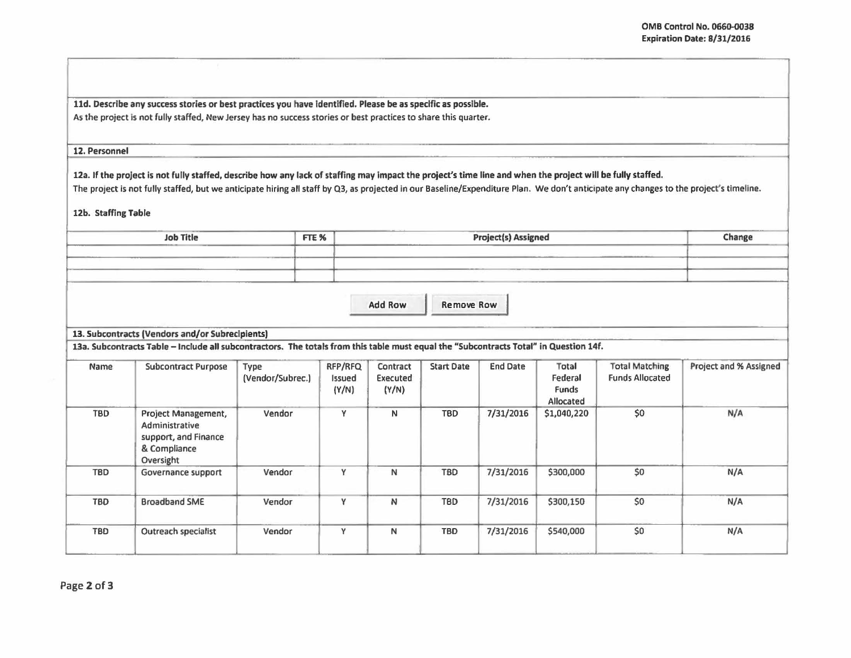11d. Describe any success stories or best practices you have identified. Please be as specific as possible. As the project is not fully staffed, New Jersey has no success stories or best practices to share this quarter.

## 12. Personnel

12a. If the project is not fully staffed, describe how any lack of staffing may Impact the project's time line and when the project will be fully staffed. The project is not fully staffed, but we anticipate hiring all staff by Q3, as projected in our Baseline/Expenditure Plan. We don't anticipate any changes to the project's timeline.

## 12b. Staffing Table

| FTE <sub>%</sub><br><b>Job Title</b> |                                                                                                                                                                                          |                          |                            |                               | Change            |                 |                                        |                                                 |                        |  |  |
|--------------------------------------|------------------------------------------------------------------------------------------------------------------------------------------------------------------------------------------|--------------------------|----------------------------|-------------------------------|-------------------|-----------------|----------------------------------------|-------------------------------------------------|------------------------|--|--|
|                                      |                                                                                                                                                                                          |                          |                            | Add Row                       | Remove Row        |                 |                                        |                                                 |                        |  |  |
|                                      | 13. Subcontracts (Vendors and/or Subrecipients)<br>13a. Subcontracts Table - Include all subcontractors. The totals from this table must equal the "Subcontracts Total" in Question 14f. |                          |                            |                               |                   |                 |                                        |                                                 |                        |  |  |
| Name                                 | <b>Subcontract Purpose</b>                                                                                                                                                               | Type<br>(Vendor/Subrec.) | RFP/RFQ<br>Issued<br>(Y/N) | Contract<br>Executed<br>(Y/N) | <b>Start Date</b> | <b>End Date</b> | Total<br>Federal<br>Funds<br>Allocated | <b>Total Matching</b><br><b>Funds Allocated</b> | Project and % Assigned |  |  |
| <b>TBD</b>                           | Project Management,<br>Administrative<br>support, and Finance<br>& Compliance<br>Oversight                                                                                               | Vendor                   | Y                          | ${\sf N}$                     | <b>TBD</b>        | 7/31/2016       | \$1,040,220                            | \$0\$                                           | N/A                    |  |  |
| <b>TBD</b>                           | Governance support                                                                                                                                                                       | Vendor                   | Y                          | N                             | <b>TBD</b>        | 7/31/2016       | \$300,000                              | \$0                                             | N/A                    |  |  |
| <b>TBD</b>                           | <b>Broadband SME</b>                                                                                                                                                                     | Vendor                   | Υ                          | N                             | <b>TBD</b>        | 7/31/2016       | \$300,150                              | \$0                                             | N/A                    |  |  |
| <b>TBD</b>                           | Outreach specialist                                                                                                                                                                      | Vendor                   | Y                          | N                             | <b>TBD</b>        | 7/31/2016       | \$540,000                              | \$0                                             | N/A                    |  |  |